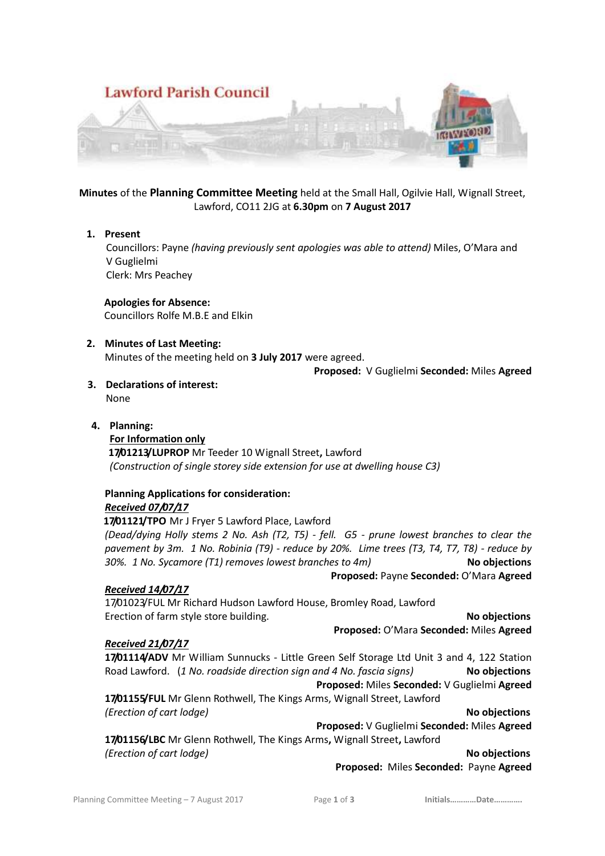

**Minutes** of the **Planning Committee Meeting** held at the Small Hall, Ogilvie Hall, Wignall Street, Lawford, CO11 2JG at **6.30pm** on **7 August 2017**

## **1. Present**

 Councillors: Payne *(having previously sent apologies was able to attend)* Miles, O'Mara and V Guglielmi Clerk: Mrs Peachey

## **Apologies for Absence:**

Councillors Rolfe M.B.E and Elkin

## **2. Minutes of Last Meeting:**

Minutes of the meeting held on **3 July 2017** were agreed.

## **Proposed:** V Guglielmi **Seconded:** Miles **Agreed**

**3. Declarations of interest:**

None

## **4. Planning:**

**For Information only 17/01213/LUPROP** Mr Teeder 10 Wignall Street**,** Lawford *(Construction of single storey side extension for use at dwelling house C3)* 

# **Planning Applications for consideration:**

## *Received 07/07/17*

 **17/01121/TPO** Mr J Fryer 5 Lawford Place, Lawford

*(Dead/dying Holly stems 2 No. Ash (T2, T5) - fell. G5 - prune lowest branches to clear the pavement by 3m. 1 No. Robinia (T9) - reduce by 20%. Lime trees (T3, T4, T7, T8) - reduce by 30%. 1 No. Sycamore (T1) removes lowest branches to 4m)* **No objections**

**Proposed:** Payne **Seconded:** O'Mara **Agreed** 

## *Received 14/07/17*

17/01023/FUL Mr Richard Hudson Lawford House, Bromley Road, Lawford Erection of farm style store building. **No objections** and the state of the state of the state of the state of the state of the state of the state of the state of the state of the state of the state of the state of the sta

**Proposed:** O'Mara **Seconded:** Miles **Agreed** 

## *Received 21/07/17*

17/01114/ADV Mr William Sunnucks - Little Green Self Storage Ltd Unit 3 and 4, 122 Station Road Lawford. (*1 No. roadside direction sign and 4 No. fascia signs)* **No objections Proposed:** Miles **Seconded:** V Guglielmi **Agreed 17/01155/FUL** Mr Glenn Rothwell, The Kings Arms, Wignall Street, Lawford

*(Erection of cart lodge)* **No objections**

**Proposed:** V Guglielmi **Seconded:** Miles **Agreed** 

**17/01156/LBC** Mr Glenn Rothwell, The Kings Arms**,** Wignall Street**,** Lawford *(Erection of cart lodge)* **No objections** 

**Proposed:** Miles **Seconded:** Payne **Agreed**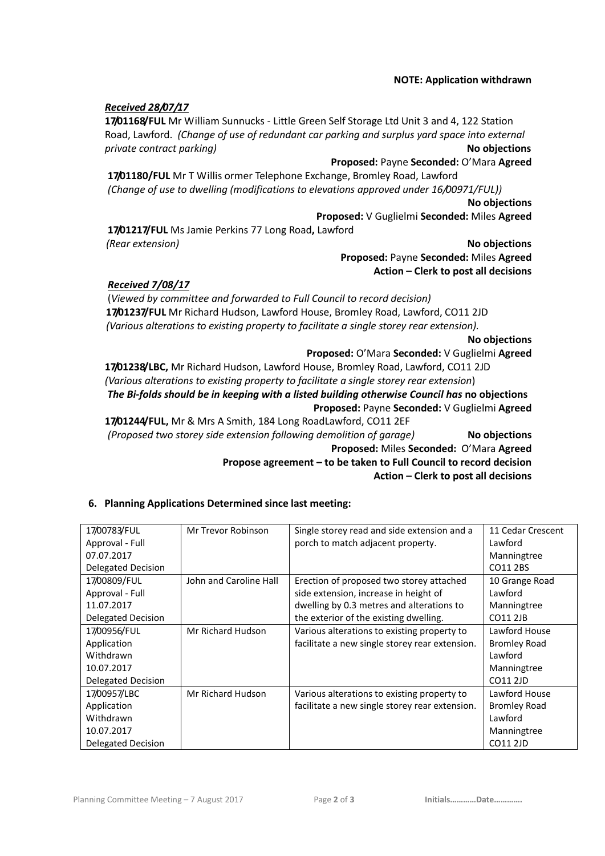#### **NOTE: Application withdrawn**

#### *Received 28/07/17*

**17/01168/FUL** Mr William Sunnucks - Little Green Self Storage Ltd Unit 3 and 4, 122 Station Road, Lawford. *(Change of use of redundant car parking and surplus yard space into external private contract parking*  $\blacksquare$ 

#### **Proposed:** Payne **Seconded:** O'Mara **Agreed**

**17/01180/FUL** Mr T Willis ormer Telephone Exchange, Bromley Road, Lawford *(Change of use to dwelling (modifications to elevations approved under 16/00971/FUL))*

**No objections**

**Proposed:** V Guglielmi **Seconded:** Miles **Agreed** 

**17/01217/FUL** Ms Jamie Perkins 77 Long Road**,** Lawford  *(Rear extension)* **No objections**

**Proposed:** Payne **Seconded:** Miles **Agreed Action – Clerk to post all decisions**

#### *Received 7/08/17*

(*Viewed by committee and forwarded to Full Council to record decision)*  **17/01237/FUL** Mr Richard Hudson, Lawford House, Bromley Road, Lawford, CO11 2JD  *(Various alterations to existing property to facilitate a single storey rear extension).*

**No objections**

#### **Proposed:** O'Mara **Seconded:** V Guglielmi **Agreed**

**17/01238/LBC,** Mr Richard Hudson, Lawford House, Bromley Road, Lawford, CO11 2JD *(Various alterations to existing property to facilitate a single storey rear extension*) *The Bi-folds should be in keeping with a listed building otherwise Council has* **no objections Proposed:** Payne **Seconded:** V Guglielmi **Agreed** 

**17/01244/FUL,** Mr & Mrs A Smith, 184 Long RoadLawford, CO11 2EF *(Proposed two storey side extension following demolition of garage)* **No objections Proposed:** Miles **Seconded:** O'Mara **Agreed Propose agreement – to be taken to Full Council to record decision**

**Action – Clerk to post all decisions**

## **6. Planning Applications Determined since last meeting:**

| 17/00783/FUL       | Mr Trevor Robinson     | Single storey read and side extension and a    | 11 Cedar Crescent   |
|--------------------|------------------------|------------------------------------------------|---------------------|
| Approval - Full    |                        | porch to match adjacent property.              | Lawford             |
| 07.07.2017         |                        |                                                | Manningtree         |
| Delegated Decision |                        |                                                | CO11 2BS            |
| 17/00809/FUL       | John and Caroline Hall | Erection of proposed two storey attached       | 10 Grange Road      |
| Approval - Full    |                        | side extension, increase in height of          | Lawford             |
| 11.07.2017         |                        | dwelling by 0.3 metres and alterations to      | Manningtree         |
| Delegated Decision |                        | the exterior of the existing dwelling.         | <b>CO11 2JB</b>     |
| 17/00956/FUL       | Mr Richard Hudson      | Various alterations to existing property to    | Lawford House       |
| Application        |                        | facilitate a new single storey rear extension. | <b>Bromley Road</b> |
| Withdrawn          |                        |                                                | Lawford             |
| 10.07.2017         |                        |                                                | Manningtree         |
| Delegated Decision |                        |                                                | CO11 2JD            |
| 17/00957/LBC       | Mr Richard Hudson      | Various alterations to existing property to    | Lawford House       |
| Application        |                        | facilitate a new single storey rear extension. | <b>Bromley Road</b> |
| Withdrawn          |                        |                                                | Lawford             |
| 10.07.2017         |                        |                                                | Manningtree         |
| Delegated Decision |                        |                                                | <b>CO11 2JD</b>     |